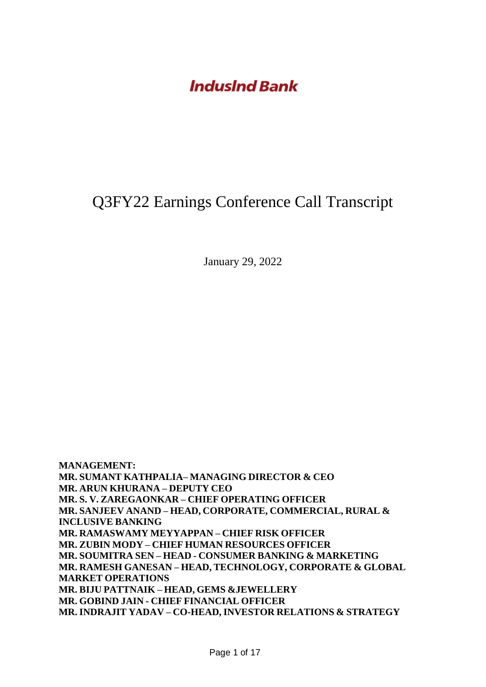### Q3FY22 Earnings Conference Call Transcript

January 29, 2022

**MANAGEMENT: MR. SUMANT KATHPALIA– MANAGING DIRECTOR & CEO MR. ARUN KHURANA – DEPUTY CEO MR. S. V. ZAREGAONKAR – CHIEF OPERATING OFFICER MR. SANJEEV ANAND – HEAD, CORPORATE, COMMERCIAL, RURAL & INCLUSIVE BANKING MR. RAMASWAMY MEYYAPPAN – CHIEF RISK OFFICER MR. ZUBIN MODY – CHIEF HUMAN RESOURCES OFFICER MR. SOUMITRA SEN – HEAD - CONSUMER BANKING & MARKETING MR. RAMESH GANESAN – HEAD, TECHNOLOGY, CORPORATE & GLOBAL MARKET OPERATIONS MR. BIJU PATTNAIK – HEAD, GEMS &JEWELLERY MR. GOBIND JAIN - CHIEF FINANCIAL OFFICER MR. INDRAJIT YADAV – CO-HEAD, INVESTOR RELATIONS & STRATEGY**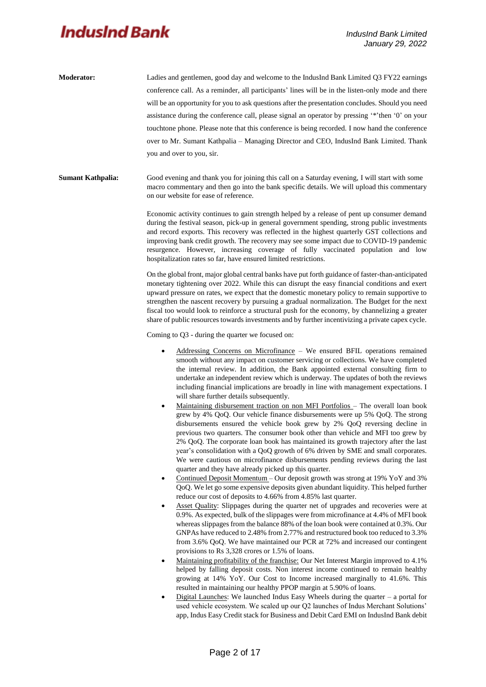- **Moderator:** Ladies and gentlemen, good day and welcome to the IndusInd Bank Limited Q3 FY22 earnings conference call. As a reminder, all participants' lines will be in the listen-only mode and there will be an opportunity for you to ask questions after the presentation concludes. Should you need assistance during the conference call, please signal an operator by pressing '\*'then '0' on your touchtone phone. Please note that this conference is being recorded. I now hand the conference over to Mr. Sumant Kathpalia – Managing Director and CEO, IndusInd Bank Limited. Thank you and over to you, sir.
- **Sumant Kathpalia:** Good evening and thank you for joining this call on a Saturday evening, I will start with some macro commentary and then go into the bank specific details. We will upload this commentary on our website for ease of reference.

Economic activity continues to gain strength helped by a release of pent up consumer demand during the festival season, pick-up in general government spending, strong public investments and record exports. This recovery was reflected in the highest quarterly GST collections and improving bank credit growth. The recovery may see some impact due to COVID-19 pandemic resurgence. However, increasing coverage of fully vaccinated population and low hospitalization rates so far, have ensured limited restrictions.

On the global front, major global central banks have put forth guidance of faster-than-anticipated monetary tightening over 2022. While this can disrupt the easy financial conditions and exert upward pressure on rates, we expect that the domestic monetary policy to remain supportive to strengthen the nascent recovery by pursuing a gradual normalization. The Budget for the next fiscal too would look to reinforce a structural push for the economy, by channelizing a greater share of public resources towards investments and by further incentivizing a private capex cycle.

Coming to Q3 - during the quarter we focused on:

- Addressing Concerns on Microfinance We ensured BFIL operations remained smooth without any impact on customer servicing or collections. We have completed the internal review. In addition, the Bank appointed external consulting firm to undertake an independent review which is underway. The updates of both the reviews including financial implications are broadly in line with management expectations. I will share further details subsequently.
- Maintaining disbursement traction on non MFI Portfolios The overall loan book grew by 4% QoQ. Our vehicle finance disbursements were up 5% QoQ. The strong disbursements ensured the vehicle book grew by 2% QoQ reversing decline in previous two quarters. The consumer book other than vehicle and MFI too grew by 2% QoQ. The corporate loan book has maintained its growth trajectory after the last year's consolidation with a QoQ growth of 6% driven by SME and small corporates. We were cautious on microfinance disbursements pending reviews during the last quarter and they have already picked up this quarter.
- Continued Deposit Momentum Our deposit growth was strong at 19% YoY and 3% QoQ. We let go some expensive deposits given abundant liquidity. This helped further reduce our cost of deposits to 4.66% from 4.85% last quarter.
- Asset Quality: Slippages during the quarter net of upgrades and recoveries were at 0.9%. As expected, bulk of the slippages were from microfinance at 4.4% of MFI book whereas slippages from the balance 88% of the loan book were contained at 0.3%. Our GNPAs have reduced to 2.48% from 2.77% and restructured book too reduced to 3.3% from 3.6% QoQ. We have maintained our PCR at 72% and increased our contingent provisions to Rs 3,328 crores or 1.5% of loans.
- Maintaining profitability of the franchise: Our Net Interest Margin improved to 4.1% helped by falling deposit costs. Non interest income continued to remain healthy growing at 14% YoY. Our Cost to Income increased marginally to 41.6%. This resulted in maintaining our healthy PPOP margin at 5.90% of loans.
- Digital Launches: We launched Indus Easy Wheels during the quarter a portal for used vehicle ecosystem. We scaled up our Q2 launches of Indus Merchant Solutions' app, Indus Easy Credit stack for Business and Debit Card EMI on IndusInd Bank debit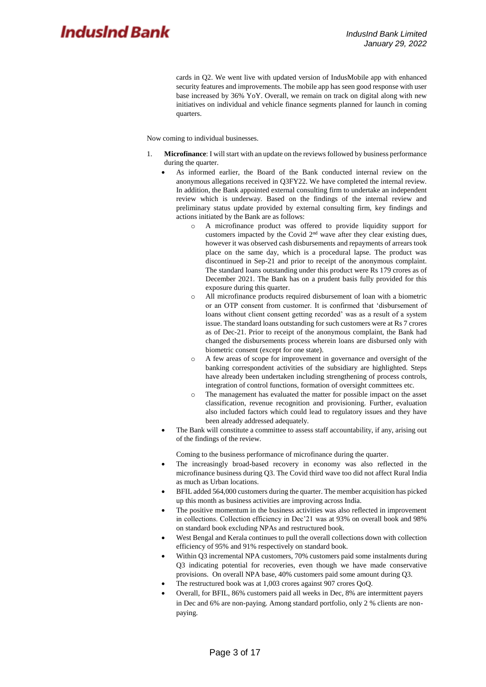cards in Q2. We went live with updated version of IndusMobile app with enhanced security features and improvements. The mobile app has seen good response with user base increased by 36% YoY. Overall, we remain on track on digital along with new initiatives on individual and vehicle finance segments planned for launch in coming quarters.

Now coming to individual businesses.

- 1. **Microfinance**: I will start with an update on the reviews followed by business performance during the quarter.
	- As informed earlier, the Board of the Bank conducted internal review on the anonymous allegations received in Q3FY22. We have completed the internal review. In addition, the Bank appointed external consulting firm to undertake an independent review which is underway. Based on the findings of the internal review and preliminary status update provided by external consulting firm, key findings and actions initiated by the Bank are as follows:
		- o A microfinance product was offered to provide liquidity support for customers impacted by the Covid 2nd wave after they clear existing dues, however it was observed cash disbursements and repayments of arrears took place on the same day, which is a procedural lapse. The product was discontinued in Sep-21 and prior to receipt of the anonymous complaint. The standard loans outstanding under this product were Rs 179 crores as of December 2021. The Bank has on a prudent basis fully provided for this exposure during this quarter.
		- o All microfinance products required disbursement of loan with a biometric or an OTP consent from customer. It is confirmed that 'disbursement of loans without client consent getting recorded' was as a result of a system issue. The standard loans outstanding for such customers were at Rs 7 crores as of Dec-21. Prior to receipt of the anonymous complaint, the Bank had changed the disbursements process wherein loans are disbursed only with biometric consent (except for one state).
		- o A few areas of scope for improvement in governance and oversight of the banking correspondent activities of the subsidiary are highlighted. Steps have already been undertaken including strengthening of process controls, integration of control functions, formation of oversight committees etc.
		- o The management has evaluated the matter for possible impact on the asset classification, revenue recognition and provisioning. Further, evaluation also included factors which could lead to regulatory issues and they have been already addressed adequately.
	- The Bank will constitute a committee to assess staff accountability, if any, arising out of the findings of the review.

Coming to the business performance of microfinance during the quarter.

- The increasingly broad-based recovery in economy was also reflected in the microfinance business during Q3. The Covid third wave too did not affect Rural India as much as Urban locations.
- BFIL added 564,000 customers during the quarter. The member acquisition has picked up this month as business activities are improving across India.
- The positive momentum in the business activities was also reflected in improvement in collections. Collection efficiency in Dec'21 was at 93% on overall book and 98% on standard book excluding NPAs and restructured book.
- West Bengal and Kerala continues to pull the overall collections down with collection efficiency of 95% and 91% respectively on standard book.
- Within Q3 incremental NPA customers, 70% customers paid some instalments during Q3 indicating potential for recoveries, even though we have made conservative provisions. On overall NPA base, 40% customers paid some amount during Q3.
- The restructured book was at 1,003 crores against 907 crores QoQ.
- Overall, for BFIL, 86% customers paid all weeks in Dec, 8% are intermittent payers in Dec and 6% are non-paying. Among standard portfolio, only 2 % clients are nonpaying.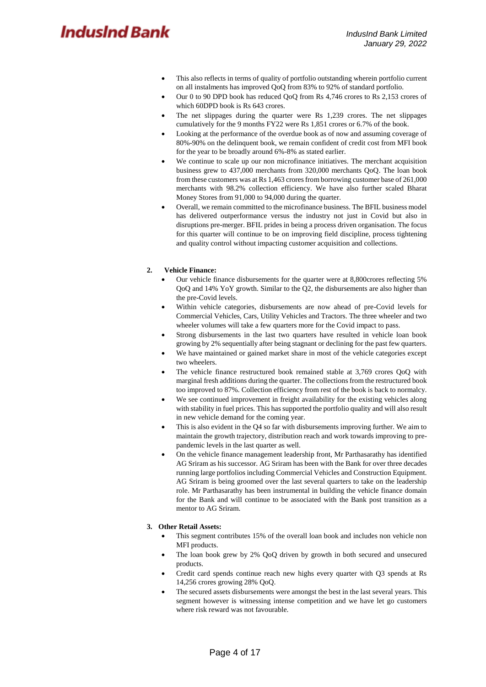- This also reflects in terms of quality of portfolio outstanding wherein portfolio current on all instalments has improved QoQ from 83% to 92% of standard portfolio.
- Our 0 to 90 DPD book has reduced QoQ from Rs 4,746 crores to Rs 2,153 crores of which 60DPD book is Rs 643 crores.
- The net slippages during the quarter were Rs 1,239 crores. The net slippages cumulatively for the 9 months FY22 were Rs 1,851 crores or 6.7% of the book.
- Looking at the performance of the overdue book as of now and assuming coverage of 80%-90% on the delinquent book, we remain confident of credit cost from MFI book for the year to be broadly around 6%-8% as stated earlier.
- We continue to scale up our non microfinance initiatives. The merchant acquisition business grew to 437,000 merchants from 320,000 merchants QoQ. The loan book from these customers was at Rs 1,463 crores from borrowing customer base of 261,000 merchants with 98.2% collection efficiency. We have also further scaled Bharat Money Stores from 91,000 to 94,000 during the quarter.
- Overall, we remain committed to the microfinance business. The BFIL business model has delivered outperformance versus the industry not just in Covid but also in disruptions pre-merger. BFIL prides in being a process driven organisation. The focus for this quarter will continue to be on improving field discipline, process tightening and quality control without impacting customer acquisition and collections.

#### **2. Vehicle Finance:**

- Our vehicle finance disbursements for the quarter were at 8,800crores reflecting 5% QoQ and 14% YoY growth. Similar to the Q2, the disbursements are also higher than the pre-Covid levels.
- Within vehicle categories, disbursements are now ahead of pre-Covid levels for Commercial Vehicles, Cars, Utility Vehicles and Tractors. The three wheeler and two wheeler volumes will take a few quarters more for the Covid impact to pass.
- Strong disbursements in the last two quarters have resulted in vehicle loan book growing by 2% sequentially after being stagnant or declining for the past few quarters.
- We have maintained or gained market share in most of the vehicle categories except two wheelers.
- The vehicle finance restructured book remained stable at 3,769 crores QoQ with marginal fresh additions during the quarter. The collections from the restructured book too improved to 87%. Collection efficiency from rest of the book is back to normalcy.
- We see continued improvement in freight availability for the existing vehicles along with stability in fuel prices. This has supported the portfolio quality and will also result in new vehicle demand for the coming year.
- This is also evident in the Q4 so far with disbursements improving further. We aim to maintain the growth trajectory, distribution reach and work towards improving to prepandemic levels in the last quarter as well.
- On the vehicle finance management leadership front, Mr Parthasarathy has identified AG Sriram as his successor. AG Sriram has been with the Bank for over three decades running large portfolios including Commercial Vehicles and Construction Equipment. AG Sriram is being groomed over the last several quarters to take on the leadership role. Mr Parthasarathy has been instrumental in building the vehicle finance domain for the Bank and will continue to be associated with the Bank post transition as a mentor to AG Sriram.

#### **3. Other Retail Assets:**

- This segment contributes 15% of the overall loan book and includes non vehicle non MFI products.
- The loan book grew by 2% QoQ driven by growth in both secured and unsecured products.
- Credit card spends continue reach new highs every quarter with Q3 spends at Rs 14,256 crores growing 28% QoQ.
- The secured assets disbursements were amongst the best in the last several years. This segment however is witnessing intense competition and we have let go customers where risk reward was not favourable.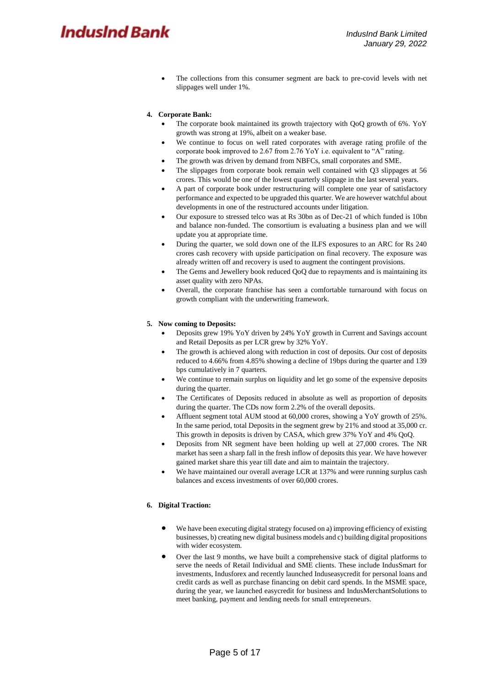The collections from this consumer segment are back to pre-covid levels with net slippages well under 1%.

#### **4. Corporate Bank:**

- The corporate book maintained its growth trajectory with QoQ growth of 6%. YoY growth was strong at 19%, albeit on a weaker base.
- We continue to focus on well rated corporates with average rating profile of the corporate book improved to 2.67 from 2.76 YoY i.e. equivalent to "A" rating.
- The growth was driven by demand from NBFCs, small corporates and SME.
- The slippages from corporate book remain well contained with Q3 slippages at 56 crores. This would be one of the lowest quarterly slippage in the last several years.
- A part of corporate book under restructuring will complete one year of satisfactory performance and expected to be upgraded this quarter. We are however watchful about developments in one of the restructured accounts under litigation.
- Our exposure to stressed telco was at Rs 30bn as of Dec-21 of which funded is 10bn and balance non-funded. The consortium is evaluating a business plan and we will update you at appropriate time.
- During the quarter, we sold down one of the ILFS exposures to an ARC for Rs 240 crores cash recovery with upside participation on final recovery. The exposure was already written off and recovery is used to augment the contingent provisions.
- The Gems and Jewellery book reduced QoQ due to repayments and is maintaining its asset quality with zero NPAs.
- Overall, the corporate franchise has seen a comfortable turnaround with focus on growth compliant with the underwriting framework.

#### **5. Now coming to Deposits:**

- Deposits grew 19% YoY driven by 24% YoY growth in Current and Savings account and Retail Deposits as per LCR grew by 32% YoY.
- The growth is achieved along with reduction in cost of deposits. Our cost of deposits reduced to 4.66% from 4.85% showing a decline of 19bps during the quarter and 139 bps cumulatively in 7 quarters.
- We continue to remain surplus on liquidity and let go some of the expensive deposits during the quarter.
- The Certificates of Deposits reduced in absolute as well as proportion of deposits during the quarter. The CDs now form 2.2% of the overall deposits.
- Affluent segment total AUM stood at 60,000 crores, showing a YoY growth of 25%. In the same period, total Deposits in the segment grew by 21% and stood at 35,000 cr. This growth in deposits is driven by CASA, which grew 37% YoY and 4% QoQ.
- Deposits from NR segment have been holding up well at 27,000 crores. The NR market has seen a sharp fall in the fresh inflow of deposits this year. We have however gained market share this year till date and aim to maintain the trajectory.
- We have maintained our overall average LCR at 137% and were running surplus cash balances and excess investments of over 60,000 crores.

#### **6. Digital Traction:**

- We have been executing digital strategy focused on a) improving efficiency of existing businesses, b) creating new digital business models and c) building digital propositions with wider ecosystem.
- Over the last 9 months, we have built a comprehensive stack of digital platforms to serve the needs of Retail Individual and SME clients. These include IndusSmart for investments, Indusforex and recently launched Induseasycredit for personal loans and credit cards as well as purchase financing on debit card spends. In the MSME space, during the year, we launched easycredit for business and IndusMerchantSolutions to meet banking, payment and lending needs for small entrepreneurs.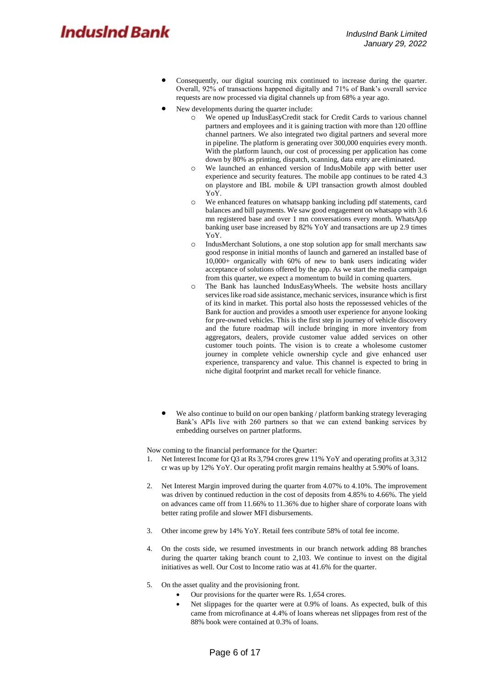- Consequently, our digital sourcing mix continued to increase during the quarter. Overall, 92% of transactions happened digitally and 71% of Bank's overall service requests are now processed via digital channels up from 68% a year ago.
- New developments during the quarter include:
	- We opened up IndusEasyCredit stack for Credit Cards to various channel partners and employees and it is gaining traction with more than 120 offline channel partners. We also integrated two digital partners and several more in pipeline. The platform is generating over 300,000 enquiries every month. With the platform launch, our cost of processing per application has come down by 80% as printing, dispatch, scanning, data entry are eliminated.
	- o We launched an enhanced version of IndusMobile app with better user experience and security features. The mobile app continues to be rated 4.3 on playstore and IBL mobile & UPI transaction growth almost doubled YoY.
	- o We enhanced features on whatsapp banking including pdf statements, card balances and bill payments. We saw good engagement on whatsapp with 3.6 mn registered base and over 1 mn conversations every month. WhatsApp banking user base increased by 82% YoY and transactions are up 2.9 times YoY.
	- o IndusMerchant Solutions, a one stop solution app for small merchants saw good response in initial months of launch and garnered an installed base of 10,000+ organically with 60% of new to bank users indicating wider acceptance of solutions offered by the app. As we start the media campaign from this quarter, we expect a momentum to build in coming quarters.
	- o The Bank has launched IndusEasyWheels. The website hosts ancillary services like road side assistance, mechanic services, insurance which is first of its kind in market. This portal also hosts the repossessed vehicles of the Bank for auction and provides a smooth user experience for anyone looking for pre-owned vehicles. This is the first step in journey of vehicle discovery and the future roadmap will include bringing in more inventory from aggregators, dealers, provide customer value added services on other customer touch points. The vision is to create a wholesome customer journey in complete vehicle ownership cycle and give enhanced user experience, transparency and value. This channel is expected to bring in niche digital footprint and market recall for vehicle finance.
- We also continue to build on our open banking / platform banking strategy leveraging Bank's APIs live with 260 partners so that we can extend banking services by embedding ourselves on partner platforms.

Now coming to the financial performance for the Quarter:

- 1. Net Interest Income for Q3 at Rs 3,794 crores grew 11% YoY and operating profits at 3,312 cr was up by 12% YoY. Our operating profit margin remains healthy at 5.90% of loans.
- 2. Net Interest Margin improved during the quarter from 4.07% to 4.10%. The improvement was driven by continued reduction in the cost of deposits from 4.85% to 4.66%. The yield on advances came off from 11.66% to 11.36% due to higher share of corporate loans with better rating profile and slower MFI disbursements.
- 3. Other income grew by 14% YoY. Retail fees contribute 58% of total fee income.
- 4. On the costs side, we resumed investments in our branch network adding 88 branches during the quarter taking branch count to 2,103. We continue to invest on the digital initiatives as well. Our Cost to Income ratio was at 41.6% for the quarter.
- 5. On the asset quality and the provisioning front.
	- Our provisions for the quarter were Rs. 1,654 crores.
	- Net slippages for the quarter were at 0.9% of loans. As expected, bulk of this came from microfinance at 4.4% of loans whereas net slippages from rest of the 88% book were contained at 0.3% of loans.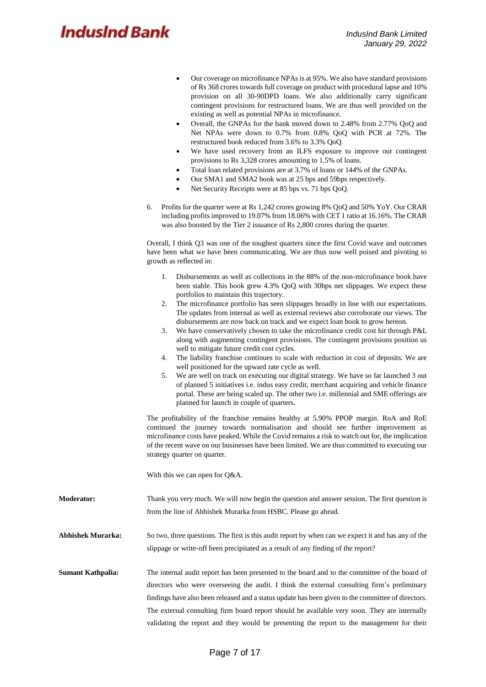- Our coverage on microfinance NPAs is at 95%. We also have standard provisions of Rs 368 crores towards full coverage on product with procedural lapse and 10% provision on all 30-90DPD loans. We also additionally carry significant contingent provisions for restructured loans. We are thus well provided on the existing as well as potential NPAs in microfinance.
- Overall, the GNPAs for the bank moved down to 2.48% from 2.77% QoQ and Net NPAs were down to 0.7% from 0.8% QoQ with PCR at 72%. The restructured book reduced from 3.6% to 3.3% QoQ.
- We have used recovery from an ILFS exposure to improve our contingent provisions to Rs 3,328 crores amounting to 1.5% of loans.
- Total loan related provisions are at 3.7% of loans or 144% of the GNPAs.
- Our SMA1 and SMA2 book was at 25 bps and 59bps respectively.
- Net Security Receipts were at 85 bps vs. 71 bps QoQ.
- 6. Profits for the quarter were at Rs 1,242 crores growing 8% QoQ and 50% YoY. Our CRAR including profits improved to 19.07% from 18.06% with CET 1 ratio at 16.16%. The CRAR was also boosted by the Tier 2 issuance of Rs 2,800 crores during the quarter.

Overall, I think Q3 was one of the toughest quarters since the first Covid wave and outcomes have been what we have been communicating. We are thus now well poised and pivoting to growth as reflected in:

- 1. Disbursements as well as collections in the 88% of the non-microfinance book have been stable. This book grew 4.3% QoQ with 30bps net slippages. We expect these portfolios to maintain this trajectory.
- 2. The microfinance portfolio has seen slippages broadly in line with our expectations. The updates from internal as well as external reviews also corroborate our views. The disbursements are now back on track and we expect loan book to grow hereon.
- 3. We have conservatively chosen to take the microfinance credit cost hit through P&L along with augmenting contingent provisions. The contingent provisions position us well to mitigate future credit cost cycles.
- 4. The liability franchise continues to scale with reduction in cost of deposits. We are well positioned for the upward rate cycle as well.
- 5. We are well on track on executing our digital strategy. We have so far launched 3 out of planned 5 initiatives i.e. indus easy credit, merchant acquiring and vehicle finance portal. These are being scaled up. The other two i.e. millennial and SME offerings are planned for launch in couple of quarters.

The profitability of the franchise remains healthy at 5.90% PPOP margin. RoA and RoE continued the journey towards normalisation and should see further improvement as microfinance costs have peaked. While the Covid remains a risk to watch out for, the implication of the recent wave on our businesses have been limited. We are thus committed to executing our strategy quarter on quarter.

With this we can open for Q&A.

- **Moderator:** Thank you very much. We will now begin the question and answer session. The first question is from the line of Abhishek Murarka from HSBC. Please go ahead.
- **Abhishek Murarka:** So two, three questions. The first is this audit report by when can we expect it and has any of the slippage or write-off been precipitated as a result of any finding of the report?
- **Sumant Kathpalia:** The internal audit report has been presented to the board and to the committee of the board of directors who were overseeing the audit. I think the external consulting firm's preliminary findings have also been released and a status update has been given to the committee of directors. The external consulting firm board report should be available very soon. They are internally validating the report and they would be presenting the report to the management for their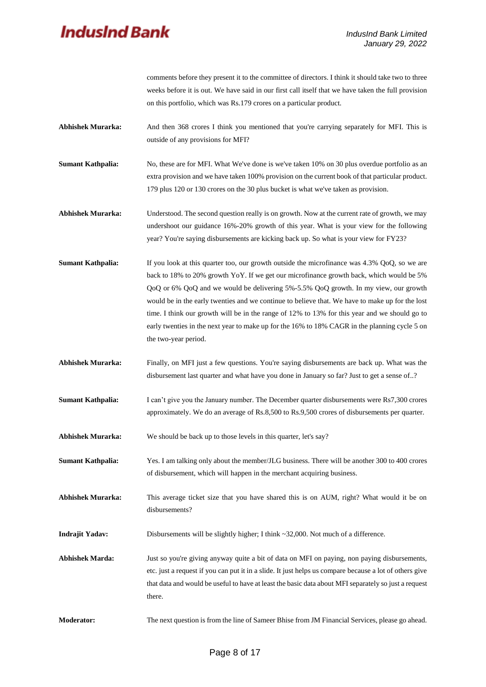comments before they present it to the committee of directors. I think it should take two to three weeks before it is out. We have said in our first call itself that we have taken the full provision on this portfolio, which was Rs.179 crores on a particular product.

- Abhishek Murarka: And then 368 crores I think you mentioned that you're carrying separately for MFI. This is outside of any provisions for MFI?
- **Sumant Kathpalia:** No, these are for MFI. What We've done is we've taken 10% on 30 plus overdue portfolio as an extra provision and we have taken 100% provision on the current book of that particular product. 179 plus 120 or 130 crores on the 30 plus bucket is what we've taken as provision.
- **Abhishek Murarka:** Understood. The second question really is on growth. Now at the current rate of growth, we may undershoot our guidance 16%-20% growth of this year. What is your view for the following year? You're saying disbursements are kicking back up. So what is your view for FY23?
- **Sumant Kathpalia:** If you look at this quarter too, our growth outside the microfinance was 4.3% QoQ, so we are back to 18% to 20% growth YoY. If we get our microfinance growth back, which would be 5% QoQ or 6% QoQ and we would be delivering 5%-5.5% QoQ growth. In my view, our growth would be in the early twenties and we continue to believe that. We have to make up for the lost time. I think our growth will be in the range of 12% to 13% for this year and we should go to early twenties in the next year to make up for the 16% to 18% CAGR in the planning cycle 5 on the two-year period.
- Abhishek Murarka: Finally, on MFI just a few questions. You're saying disbursements are back up. What was the disbursement last quarter and what have you done in January so far? Just to get a sense of..?
- **Sumant Kathpalia:** I can't give you the January number. The December quarter disbursements were Rs7,300 crores approximately. We do an average of Rs.8,500 to Rs.9,500 crores of disbursements per quarter.
- **Abhishek Murarka:** We should be back up to those levels in this quarter, let's say?
- **Sumant Kathpalia:** Yes. I am talking only about the member/JLG business. There will be another 300 to 400 crores of disbursement, which will happen in the merchant acquiring business.
- **Abhishek Murarka:** This average ticket size that you have shared this is on AUM, right? What would it be on disbursements?
- **Indrajit Yadav:** Disbursements will be slightly higher; I think ~32,000. Not much of a difference.
- Abhishek Marda: Just so you're giving anyway quite a bit of data on MFI on paying, non paying disbursements, etc. just a request if you can put it in a slide. It just helps us compare because a lot of others give that data and would be useful to have at least the basic data about MFI separately so just a request there.
- **Moderator:** The next question is from the line of Sameer Bhise from JM Financial Services, please go ahead.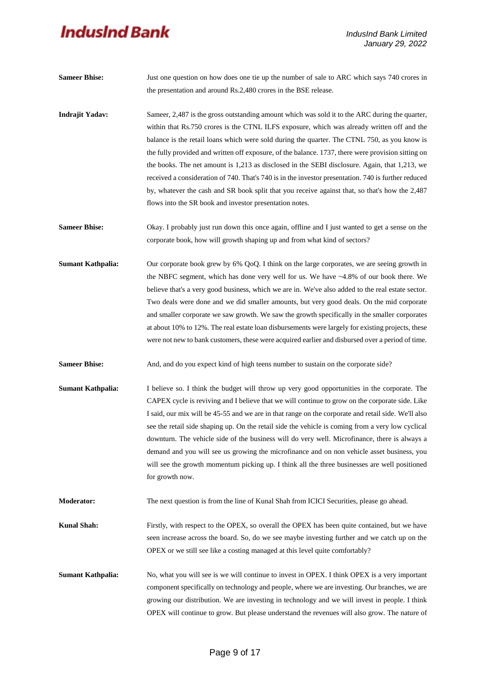| <b>Sameer Bhise:</b>     | Just one question on how does one tie up the number of sale to ARC which says 740 crores in<br>the presentation and around Rs.2,480 crores in the BSE release.                                                                                                                                                                                                                                                                                                                                                                                                                                                                                                                                                                                                          |  |  |  |
|--------------------------|-------------------------------------------------------------------------------------------------------------------------------------------------------------------------------------------------------------------------------------------------------------------------------------------------------------------------------------------------------------------------------------------------------------------------------------------------------------------------------------------------------------------------------------------------------------------------------------------------------------------------------------------------------------------------------------------------------------------------------------------------------------------------|--|--|--|
| <b>Indrajit Yadav:</b>   | Sameer, 2,487 is the gross outstanding amount which was sold it to the ARC during the quarter,<br>within that Rs.750 crores is the CTNL ILFS exposure, which was already written off and the<br>balance is the retail loans which were sold during the quarter. The CTNL 750, as you know is<br>the fully provided and written off exposure, of the balance. 1737, there were provision sitting on<br>the books. The net amount is 1,213 as disclosed in the SEBI disclosure. Again, that 1,213, we<br>received a consideration of 740. That's 740 is in the investor presentation. 740 is further reduced<br>by, whatever the cash and SR book split that you receive against that, so that's how the 2,487<br>flows into the SR book and investor presentation notes. |  |  |  |
| <b>Sameer Bhise:</b>     | Okay. I probably just run down this once again, offline and I just wanted to get a sense on the<br>corporate book, how will growth shaping up and from what kind of sectors?                                                                                                                                                                                                                                                                                                                                                                                                                                                                                                                                                                                            |  |  |  |
| <b>Sumant Kathpalia:</b> | Our corporate book grew by 6% QoQ. I think on the large corporates, we are seeing growth in<br>the NBFC segment, which has done very well for us. We have $~4.8\%$ of our book there. We<br>believe that's a very good business, which we are in. We've also added to the real estate sector.<br>Two deals were done and we did smaller amounts, but very good deals. On the mid corporate<br>and smaller corporate we saw growth. We saw the growth specifically in the smaller corporates<br>at about 10% to 12%. The real estate loan disbursements were largely for existing projects, these<br>were not new to bank customers, these were acquired earlier and disbursed over a period of time.                                                                    |  |  |  |
| <b>Sameer Bhise:</b>     | And, and do you expect kind of high teens number to sustain on the corporate side?                                                                                                                                                                                                                                                                                                                                                                                                                                                                                                                                                                                                                                                                                      |  |  |  |
| <b>Sumant Kathpalia:</b> | I believe so. I think the budget will throw up very good opportunities in the corporate. The<br>CAPEX cycle is reviving and I believe that we will continue to grow on the corporate side. Like<br>I said, our mix will be 45-55 and we are in that range on the corporate and retail side. We'll also<br>see the retail side shaping up. On the retail side the vehicle is coming from a very low cyclical<br>downturn. The vehicle side of the business will do very well. Microfinance, there is always a<br>demand and you will see us growing the microfinance and on non vehicle asset business, you<br>will see the growth momentum picking up. I think all the three businesses are well positioned<br>for growth now.                                          |  |  |  |
| <b>Moderator:</b>        | The next question is from the line of Kunal Shah from ICICI Securities, please go ahead.                                                                                                                                                                                                                                                                                                                                                                                                                                                                                                                                                                                                                                                                                |  |  |  |
| <b>Kunal Shah:</b>       | Firstly, with respect to the OPEX, so overall the OPEX has been quite contained, but we have<br>seen increase across the board. So, do we see maybe investing further and we catch up on the<br>OPEX or we still see like a costing managed at this level quite comfortably?                                                                                                                                                                                                                                                                                                                                                                                                                                                                                            |  |  |  |
| <b>Sumant Kathpalia:</b> | No, what you will see is we will continue to invest in OPEX. I think OPEX is a very important<br>component specifically on technology and people, where we are investing. Our branches, we are<br>growing our distribution. We are investing in technology and we will invest in people. I think<br>OPEX will continue to grow. But please understand the revenues will also grow. The nature of                                                                                                                                                                                                                                                                                                                                                                        |  |  |  |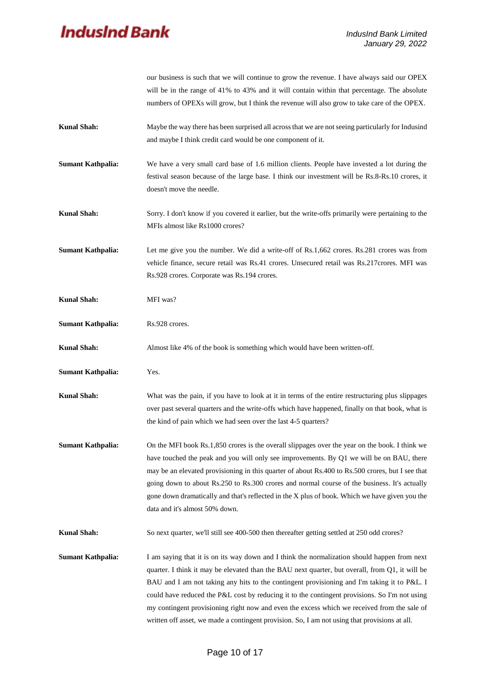|                          | our business is such that we will continue to grow the revenue. I have always said our OPEX<br>will be in the range of 41% to 43% and it will contain within that percentage. The absolute<br>numbers of OPEXs will grow, but I think the revenue will also grow to take care of the OPEX.                                                                                                                                                                                                                                                                                                      |  |  |  |  |  |
|--------------------------|-------------------------------------------------------------------------------------------------------------------------------------------------------------------------------------------------------------------------------------------------------------------------------------------------------------------------------------------------------------------------------------------------------------------------------------------------------------------------------------------------------------------------------------------------------------------------------------------------|--|--|--|--|--|
| <b>Kunal Shah:</b>       | Maybe the way there has been surprised all across that we are not seeing particularly for Indusind<br>and maybe I think credit card would be one component of it.                                                                                                                                                                                                                                                                                                                                                                                                                               |  |  |  |  |  |
| <b>Sumant Kathpalia:</b> | We have a very small card base of 1.6 million clients. People have invested a lot during the<br>festival season because of the large base. I think our investment will be Rs.8-Rs.10 crores, it<br>doesn't move the needle.                                                                                                                                                                                                                                                                                                                                                                     |  |  |  |  |  |
| <b>Kunal Shah:</b>       | Sorry. I don't know if you covered it earlier, but the write-offs primarily were pertaining to the<br>MFIs almost like Rs1000 crores?                                                                                                                                                                                                                                                                                                                                                                                                                                                           |  |  |  |  |  |
| <b>Sumant Kathpalia:</b> | Let me give you the number. We did a write-off of Rs.1,662 crores. Rs.281 crores was from<br>vehicle finance, secure retail was Rs.41 crores. Unsecured retail was Rs.217crores. MFI was<br>Rs.928 crores. Corporate was Rs.194 crores.                                                                                                                                                                                                                                                                                                                                                         |  |  |  |  |  |
| <b>Kunal Shah:</b>       | MFI was?                                                                                                                                                                                                                                                                                                                                                                                                                                                                                                                                                                                        |  |  |  |  |  |
| <b>Sumant Kathpalia:</b> | Rs.928 crores.                                                                                                                                                                                                                                                                                                                                                                                                                                                                                                                                                                                  |  |  |  |  |  |
| <b>Kunal Shah:</b>       | Almost like 4% of the book is something which would have been written-off.                                                                                                                                                                                                                                                                                                                                                                                                                                                                                                                      |  |  |  |  |  |
| <b>Sumant Kathpalia:</b> | Yes.                                                                                                                                                                                                                                                                                                                                                                                                                                                                                                                                                                                            |  |  |  |  |  |
| <b>Kunal Shah:</b>       | What was the pain, if you have to look at it in terms of the entire restructuring plus slippages<br>over past several quarters and the write-offs which have happened, finally on that book, what is<br>the kind of pain which we had seen over the last 4-5 quarters?                                                                                                                                                                                                                                                                                                                          |  |  |  |  |  |
| <b>Sumant Kathpalia:</b> | On the MFI book Rs.1,850 crores is the overall slippages over the year on the book. I think we<br>have touched the peak and you will only see improvements. By Q1 we will be on BAU, there<br>may be an elevated provisioning in this quarter of about Rs.400 to Rs.500 crores, but I see that<br>going down to about Rs.250 to Rs.300 crores and normal course of the business. It's actually<br>gone down dramatically and that's reflected in the X plus of book. Which we have given you the<br>data and it's almost 50% down.                                                              |  |  |  |  |  |
| <b>Kunal Shah:</b>       | So next quarter, we'll still see 400-500 then thereafter getting settled at 250 odd crores?                                                                                                                                                                                                                                                                                                                                                                                                                                                                                                     |  |  |  |  |  |
| <b>Sumant Kathpalia:</b> | I am saying that it is on its way down and I think the normalization should happen from next<br>quarter. I think it may be elevated than the BAU next quarter, but overall, from Q1, it will be<br>BAU and I am not taking any hits to the contingent provisioning and I'm taking it to P&L. I<br>could have reduced the P&L cost by reducing it to the contingent provisions. So I'm not using<br>my contingent provisioning right now and even the excess which we received from the sale of<br>written off asset, we made a contingent provision. So, I am not using that provisions at all. |  |  |  |  |  |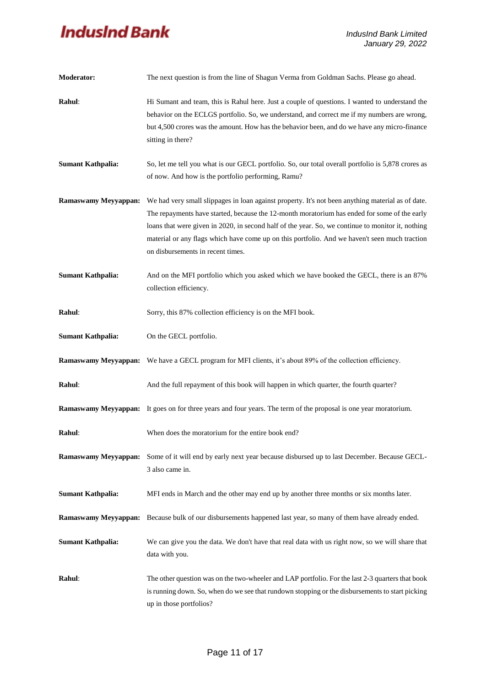| <b>Moderator:</b>           | The next question is from the line of Shagun Verma from Goldman Sachs. Please go ahead.<br>Hi Sumant and team, this is Rahul here. Just a couple of questions. I wanted to understand the<br>behavior on the ECLGS portfolio. So, we understand, and correct me if my numbers are wrong,<br>but 4,500 crores was the amount. How has the behavior been, and do we have any micro-finance<br>sitting in there?                                |  |  |  |  |  |
|-----------------------------|----------------------------------------------------------------------------------------------------------------------------------------------------------------------------------------------------------------------------------------------------------------------------------------------------------------------------------------------------------------------------------------------------------------------------------------------|--|--|--|--|--|
| Rahul:                      |                                                                                                                                                                                                                                                                                                                                                                                                                                              |  |  |  |  |  |
| <b>Sumant Kathpalia:</b>    | So, let me tell you what is our GECL portfolio. So, our total overall portfolio is 5,878 crores as<br>of now. And how is the portfolio performing, Ramu?                                                                                                                                                                                                                                                                                     |  |  |  |  |  |
| <b>Ramaswamy Meyyappan:</b> | We had very small slippages in loan against property. It's not been anything material as of date.<br>The repayments have started, because the 12-month moratorium has ended for some of the early<br>loans that were given in 2020, in second half of the year. So, we continue to monitor it, nothing<br>material or any flags which have come up on this portfolio. And we haven't seen much traction<br>on disbursements in recent times. |  |  |  |  |  |
| <b>Sumant Kathpalia:</b>    | And on the MFI portfolio which you asked which we have booked the GECL, there is an 87%<br>collection efficiency.                                                                                                                                                                                                                                                                                                                            |  |  |  |  |  |
| Rahul:                      | Sorry, this 87% collection efficiency is on the MFI book.                                                                                                                                                                                                                                                                                                                                                                                    |  |  |  |  |  |
| <b>Sumant Kathpalia:</b>    | On the GECL portfolio.                                                                                                                                                                                                                                                                                                                                                                                                                       |  |  |  |  |  |
|                             | Ramaswamy Meyyappan: We have a GECL program for MFI clients, it's about 89% of the collection efficiency.                                                                                                                                                                                                                                                                                                                                    |  |  |  |  |  |
| Rahul:                      | And the full repayment of this book will happen in which quarter, the fourth quarter?                                                                                                                                                                                                                                                                                                                                                        |  |  |  |  |  |
|                             | Ramaswamy Meyyappan: It goes on for three years and four years. The term of the proposal is one year moratorium.                                                                                                                                                                                                                                                                                                                             |  |  |  |  |  |
| Rahul:                      | When does the moratorium for the entire book end?                                                                                                                                                                                                                                                                                                                                                                                            |  |  |  |  |  |
| <b>Ramaswamy Meyyappan:</b> | Some of it will end by early next year because disbursed up to last December. Because GECL-<br>3 also came in.                                                                                                                                                                                                                                                                                                                               |  |  |  |  |  |
| <b>Sumant Kathpalia:</b>    | MFI ends in March and the other may end up by another three months or six months later.                                                                                                                                                                                                                                                                                                                                                      |  |  |  |  |  |
|                             | Ramaswamy Meyyappan: Because bulk of our disbursements happened last year, so many of them have already ended.                                                                                                                                                                                                                                                                                                                               |  |  |  |  |  |
| <b>Sumant Kathpalia:</b>    | We can give you the data. We don't have that real data with us right now, so we will share that<br>data with you.                                                                                                                                                                                                                                                                                                                            |  |  |  |  |  |
| Rahul:                      | The other question was on the two-wheeler and LAP portfolio. For the last 2-3 quarters that book<br>is running down. So, when do we see that rundown stopping or the disbursements to start picking<br>up in those portfolios?                                                                                                                                                                                                               |  |  |  |  |  |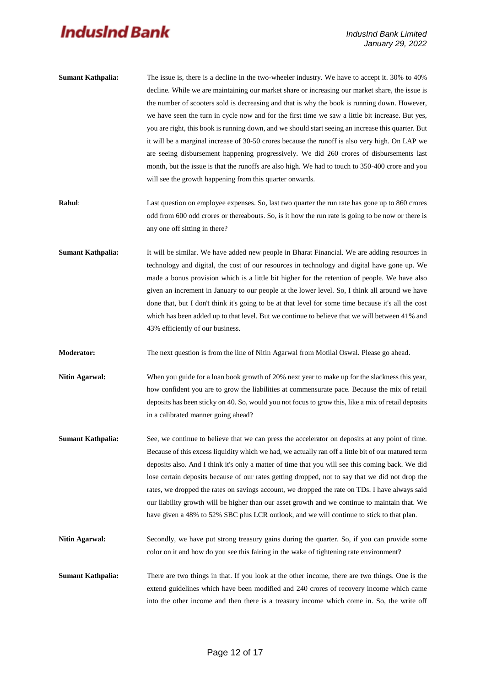| <b>Sumant Kathpalia:</b> | The issue is, there is a decline in the two-wheeler industry. We have to accept it. 30% to 40%     |
|--------------------------|----------------------------------------------------------------------------------------------------|
|                          | decline. While we are maintaining our market share or increasing our market share, the issue is    |
|                          | the number of scooters sold is decreasing and that is why the book is running down. However,       |
|                          | we have seen the turn in cycle now and for the first time we saw a little bit increase. But yes,   |
|                          | you are right, this book is running down, and we should start seeing an increase this quarter. But |
|                          | it will be a marginal increase of 30-50 crores because the runoff is also very high. On LAP we     |
|                          | are seeing disbursement happening progressively. We did 260 crores of disbursements last           |
|                          | month, but the issue is that the runoffs are also high. We had to touch to 350-400 crore and you   |
|                          | will see the growth happening from this quarter onwards.                                           |

- **Rahul:** Last question on employee expenses. So, last two quarter the run rate has gone up to 860 crores odd from 600 odd crores or thereabouts. So, is it how the run rate is going to be now or there is any one off sitting in there?
- **Sumant Kathpalia:** It will be similar. We have added new people in Bharat Financial. We are adding resources in technology and digital, the cost of our resources in technology and digital have gone up. We made a bonus provision which is a little bit higher for the retention of people. We have also given an increment in January to our people at the lower level. So, I think all around we have done that, but I don't think it's going to be at that level for some time because it's all the cost which has been added up to that level. But we continue to believe that we will between 41% and 43% efficiently of our business.
- **Moderator:** The next question is from the line of Nitin Agarwal from Motilal Oswal. Please go ahead.
- **Nitin Agarwal:** When you guide for a loan book growth of 20% next year to make up for the slackness this year, how confident you are to grow the liabilities at commensurate pace. Because the mix of retail deposits has been sticky on 40. So, would you not focus to grow this, like a mix of retail deposits in a calibrated manner going ahead?
- **Sumant Kathpalia:** See, we continue to believe that we can press the accelerator on deposits at any point of time. Because of this excess liquidity which we had, we actually ran off a little bit of our matured term deposits also. And I think it's only a matter of time that you will see this coming back. We did lose certain deposits because of our rates getting dropped, not to say that we did not drop the rates, we dropped the rates on savings account, we dropped the rate on TDs. I have always said our liability growth will be higher than our asset growth and we continue to maintain that. We have given a 48% to 52% SBC plus LCR outlook, and we will continue to stick to that plan.
- Nitin Agarwal: Secondly, we have put strong treasury gains during the quarter. So, if you can provide some color on it and how do you see this fairing in the wake of tightening rate environment?
- **Sumant Kathpalia:** There are two things in that. If you look at the other income, there are two things. One is the extend guidelines which have been modified and 240 crores of recovery income which came into the other income and then there is a treasury income which come in. So, the write off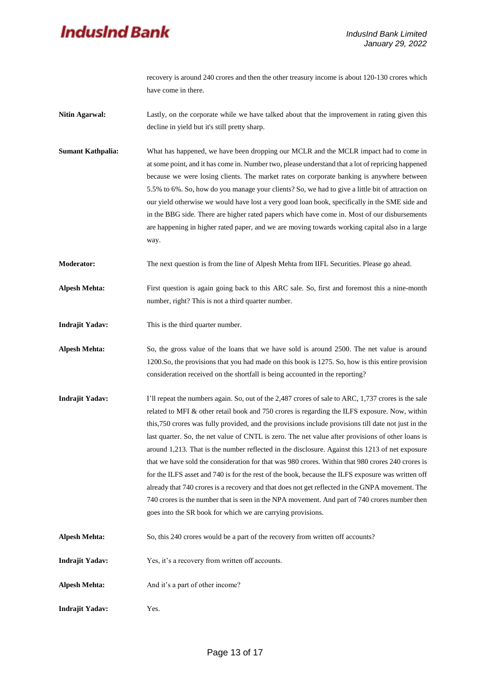recovery is around 240 crores and then the other treasury income is about 120-130 crores which have come in there.

- **Nitin Agarwal:** Lastly, on the corporate while we have talked about that the improvement in rating given this decline in yield but it's still pretty sharp.
- **Sumant Kathpalia:** What has happened, we have been dropping our MCLR and the MCLR impact had to come in at some point, and it has come in. Number two, please understand that a lot of repricing happened because we were losing clients. The market rates on corporate banking is anywhere between 5.5% to 6%. So, how do you manage your clients? So, we had to give a little bit of attraction on our yield otherwise we would have lost a very good loan book, specifically in the SME side and in the BBG side. There are higher rated papers which have come in. Most of our disbursements are happening in higher rated paper, and we are moving towards working capital also in a large way.

**Moderator:** The next question is from the line of Alpesh Mehta from IIFL Securities. Please go ahead.

**Alpesh Mehta:** First question is again going back to this ARC sale. So, first and foremost this a nine-month number, right? This is not a third quarter number.

- **Indrajit Yadav:** This is the third quarter number.
- **Alpesh Mehta:** So, the gross value of the loans that we have sold is around 2500. The net value is around 1200.So, the provisions that you had made on this book is 1275. So, how is this entire provision consideration received on the shortfall is being accounted in the reporting?
- **Indrajit Yadav:** I'll repeat the numbers again. So, out of the 2,487 crores of sale to ARC, 1,737 crores is the sale related to MFI & other retail book and 750 crores is regarding the ILFS exposure. Now, within this,750 crores was fully provided, and the provisions include provisions till date not just in the last quarter. So, the net value of CNTL is zero. The net value after provisions of other loans is around 1,213. That is the number reflected in the disclosure. Against this 1213 of net exposure that we have sold the consideration for that was 980 crores. Within that 980 crores 240 crores is for the ILFS asset and 740 is for the rest of the book, because the ILFS exposure was written off already that 740 crores is a recovery and that does not get reflected in the GNPA movement. The 740 crores is the number that is seen in the NPA movement. And part of 740 crores number then goes into the SR book for which we are carrying provisions.
- Alpesh Mehta: So, this 240 crores would be a part of the recovery from written off accounts?
- **Indrajit Yadav:** Yes, it's a recovery from written off accounts.
- Alpesh Mehta: And it's a part of other income?
- **Indrajit Yadav:** Yes.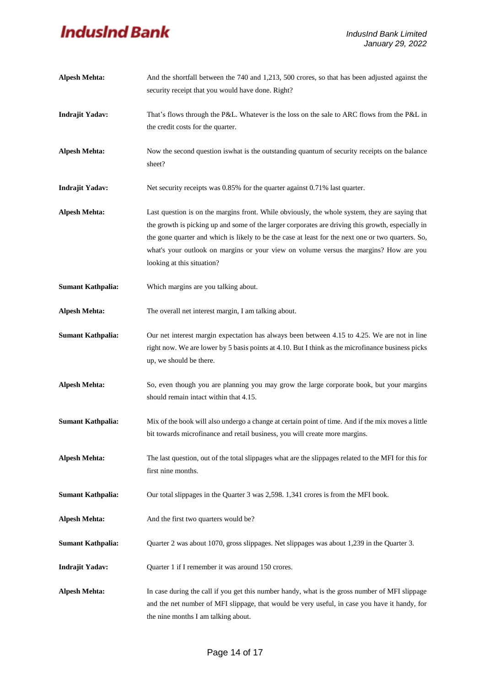| <b>Alpesh Mehta:</b>     | And the shortfall between the 740 and 1,213, 500 crores, so that has been adjusted against the       |  |  |  |  |  |
|--------------------------|------------------------------------------------------------------------------------------------------|--|--|--|--|--|
|                          | security receipt that you would have done. Right?                                                    |  |  |  |  |  |
| <b>Indrajit Yadav:</b>   | That's flows through the P&L. Whatever is the loss on the sale to ARC flows from the P&L in          |  |  |  |  |  |
|                          | the credit costs for the quarter.                                                                    |  |  |  |  |  |
| <b>Alpesh Mehta:</b>     | Now the second question is what is the outstanding quantum of security receipts on the balance       |  |  |  |  |  |
|                          | sheet?                                                                                               |  |  |  |  |  |
| <b>Indrajit Yadav:</b>   | Net security receipts was 0.85% for the quarter against 0.71% last quarter.                          |  |  |  |  |  |
| <b>Alpesh Mehta:</b>     | Last question is on the margins front. While obviously, the whole system, they are saying that       |  |  |  |  |  |
|                          | the growth is picking up and some of the larger corporates are driving this growth, especially in    |  |  |  |  |  |
|                          | the gone quarter and which is likely to be the case at least for the next one or two quarters. So,   |  |  |  |  |  |
|                          | what's your outlook on margins or your view on volume versus the margins? How are you                |  |  |  |  |  |
|                          | looking at this situation?                                                                           |  |  |  |  |  |
| <b>Sumant Kathpalia:</b> | Which margins are you talking about.                                                                 |  |  |  |  |  |
| <b>Alpesh Mehta:</b>     | The overall net interest margin, I am talking about.                                                 |  |  |  |  |  |
| <b>Sumant Kathpalia:</b> | Our net interest margin expectation has always been between 4.15 to 4.25. We are not in line         |  |  |  |  |  |
|                          | right now. We are lower by 5 basis points at 4.10. But I think as the microfinance business picks    |  |  |  |  |  |
|                          | up, we should be there.                                                                              |  |  |  |  |  |
| <b>Alpesh Mehta:</b>     | So, even though you are planning you may grow the large corporate book, but your margins             |  |  |  |  |  |
|                          | should remain intact within that 4.15.                                                               |  |  |  |  |  |
| <b>Sumant Kathpalia:</b> | Mix of the book will also undergo a change at certain point of time. And if the mix moves a little   |  |  |  |  |  |
|                          | bit towards microfinance and retail business, you will create more margins.                          |  |  |  |  |  |
| Alpesh Mehta:            | The last question, out of the total slippages what are the slippages related to the MFI for this for |  |  |  |  |  |
|                          | first nine months.                                                                                   |  |  |  |  |  |
| <b>Sumant Kathpalia:</b> | Our total slippages in the Quarter 3 was 2,598. 1,341 crores is from the MFI book.                   |  |  |  |  |  |
| <b>Alpesh Mehta:</b>     | And the first two quarters would be?                                                                 |  |  |  |  |  |
| <b>Sumant Kathpalia:</b> | Quarter 2 was about 1070, gross slippages. Net slippages was about 1,239 in the Quarter 3.           |  |  |  |  |  |
| <b>Indrajit Yadav:</b>   | Quarter 1 if I remember it was around 150 crores.                                                    |  |  |  |  |  |
| <b>Alpesh Mehta:</b>     | In case during the call if you get this number handy, what is the gross number of MFI slippage       |  |  |  |  |  |
|                          | and the net number of MFI slippage, that would be very useful, in case you have it handy, for        |  |  |  |  |  |
|                          | the nine months I am talking about.                                                                  |  |  |  |  |  |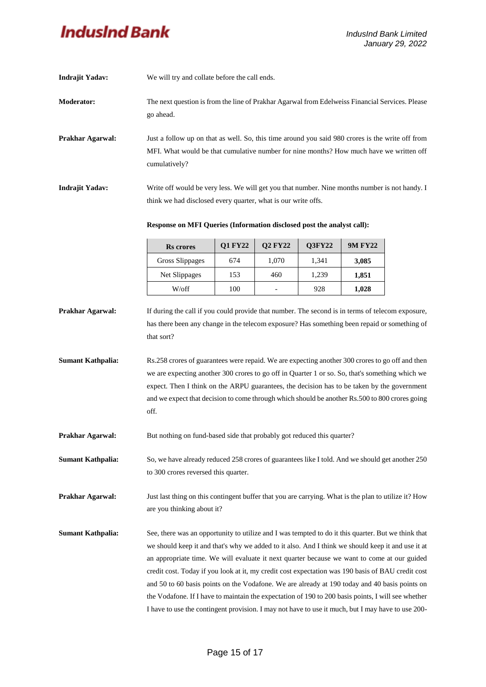| <b>Indrajit Yadav:</b>   | We will try and collate before the call ends.                                                                                                                                                                                                                                                                                                                                                                                                                                                                                                                                                                                                                                                                            |                |                          |        |                |  |  |  |
|--------------------------|--------------------------------------------------------------------------------------------------------------------------------------------------------------------------------------------------------------------------------------------------------------------------------------------------------------------------------------------------------------------------------------------------------------------------------------------------------------------------------------------------------------------------------------------------------------------------------------------------------------------------------------------------------------------------------------------------------------------------|----------------|--------------------------|--------|----------------|--|--|--|
| <b>Moderator:</b>        | The next question is from the line of Prakhar Agarwal from Edelweiss Financial Services. Please<br>go ahead.                                                                                                                                                                                                                                                                                                                                                                                                                                                                                                                                                                                                             |                |                          |        |                |  |  |  |
| Prakhar Agarwal:         | Just a follow up on that as well. So, this time around you said 980 crores is the write off from<br>MFI. What would be that cumulative number for nine months? How much have we written off<br>cumulatively?                                                                                                                                                                                                                                                                                                                                                                                                                                                                                                             |                |                          |        |                |  |  |  |
| <b>Indrajit Yadav:</b>   | Write off would be very less. We will get you that number. Nine months number is not handy. I<br>think we had disclosed every quarter, what is our write offs.                                                                                                                                                                                                                                                                                                                                                                                                                                                                                                                                                           |                |                          |        |                |  |  |  |
|                          | Response on MFI Queries (Information disclosed post the analyst call):                                                                                                                                                                                                                                                                                                                                                                                                                                                                                                                                                                                                                                                   |                |                          |        |                |  |  |  |
|                          | <b>Rs</b> crores                                                                                                                                                                                                                                                                                                                                                                                                                                                                                                                                                                                                                                                                                                         | <b>Q1 FY22</b> | <b>Q2 FY22</b>           | Q3FY22 | <b>9M FY22</b> |  |  |  |
|                          | Gross Slippages                                                                                                                                                                                                                                                                                                                                                                                                                                                                                                                                                                                                                                                                                                          | 674            | 1,070                    | 1,341  | 3,085          |  |  |  |
|                          | Net Slippages                                                                                                                                                                                                                                                                                                                                                                                                                                                                                                                                                                                                                                                                                                            | 153            | 460                      | 1,239  | 1,851          |  |  |  |
|                          | W/off                                                                                                                                                                                                                                                                                                                                                                                                                                                                                                                                                                                                                                                                                                                    | 100            | $\overline{\phantom{a}}$ | 928    | 1,028          |  |  |  |
| <b>Sumant Kathpalia:</b> | has there been any change in the telecom exposure? Has something been repaid or something of<br>that sort?<br>Rs.258 crores of guarantees were repaid. We are expecting another 300 crores to go off and then<br>we are expecting another 300 crores to go off in Quarter 1 or so. So, that's something which we<br>expect. Then I think on the ARPU guarantees, the decision has to be taken by the government<br>and we expect that decision to come through which should be another Rs.500 to 800 crores going<br>off.                                                                                                                                                                                                |                |                          |        |                |  |  |  |
| Prakhar Agarwal:         | But nothing on fund-based side that probably got reduced this quarter?                                                                                                                                                                                                                                                                                                                                                                                                                                                                                                                                                                                                                                                   |                |                          |        |                |  |  |  |
| <b>Sumant Kathpalia:</b> | So, we have already reduced 258 crores of guarantees like I told. And we should get another 250<br>to 300 crores reversed this quarter.                                                                                                                                                                                                                                                                                                                                                                                                                                                                                                                                                                                  |                |                          |        |                |  |  |  |
| Prakhar Agarwal:         | Just last thing on this contingent buffer that you are carrying. What is the plan to utilize it? How<br>are you thinking about it?                                                                                                                                                                                                                                                                                                                                                                                                                                                                                                                                                                                       |                |                          |        |                |  |  |  |
| <b>Sumant Kathpalia:</b> | See, there was an opportunity to utilize and I was tempted to do it this quarter. But we think that<br>we should keep it and that's why we added to it also. And I think we should keep it and use it at<br>an appropriate time. We will evaluate it next quarter because we want to come at our guided<br>credit cost. Today if you look at it, my credit cost expectation was 190 basis of BAU credit cost<br>and 50 to 60 basis points on the Vodafone. We are already at 190 today and 40 basis points on<br>the Vodafone. If I have to maintain the expectation of 190 to 200 basis points, I will see whether<br>I have to use the contingent provision. I may not have to use it much, but I may have to use 200- |                |                          |        |                |  |  |  |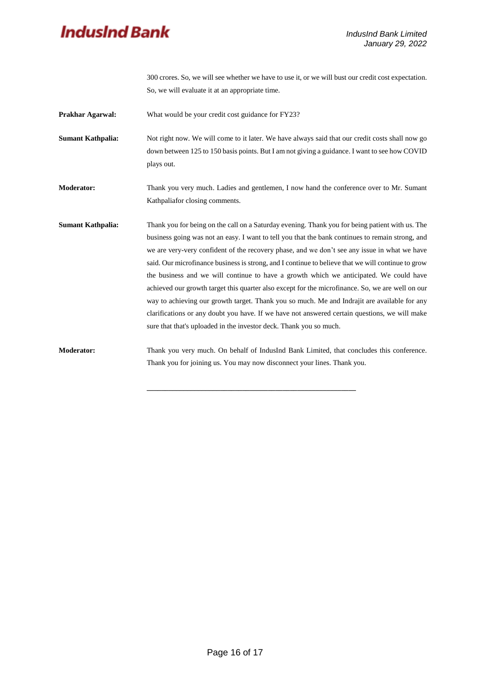

300 crores. So, we will see whether we have to use it, or we will bust our credit cost expectation. So, we will evaluate it at an appropriate time.

**Prakhar Agarwal:** What would be your credit cost guidance for FY23?

**Sumant Kathpalia:** Not right now. We will come to it later. We have always said that our credit costs shall now go down between 125 to 150 basis points. But I am not giving a guidance. I want to see how COVID plays out.

**Moderator:** Thank you very much. Ladies and gentlemen, I now hand the conference over to Mr. Sumant Kathpaliafor closing comments.

**Sumant Kathpalia:** Thank you for being on the call on a Saturday evening. Thank you for being patient with us. The business going was not an easy. I want to tell you that the bank continues to remain strong, and we are very-very confident of the recovery phase, and we don't see any issue in what we have said. Our microfinance business is strong, and I continue to believe that we will continue to grow the business and we will continue to have a growth which we anticipated. We could have achieved our growth target this quarter also except for the microfinance. So, we are well on our way to achieving our growth target. Thank you so much. Me and Indrajit are available for any clarifications or any doubt you have. If we have not answered certain questions, we will make sure that that's uploaded in the investor deck. Thank you so much.

**Moderator:** Thank you very much. On behalf of IndusInd Bank Limited, that concludes this conference. Thank you for joining us. You may now disconnect your lines. Thank you.

**\_\_\_\_\_\_\_\_\_\_\_\_\_\_\_\_\_\_\_\_\_\_\_\_\_\_\_\_\_\_\_\_\_\_\_\_\_\_\_\_\_\_\_\_\_\_\_\_\_\_\_\_\_\_\_\_\_**